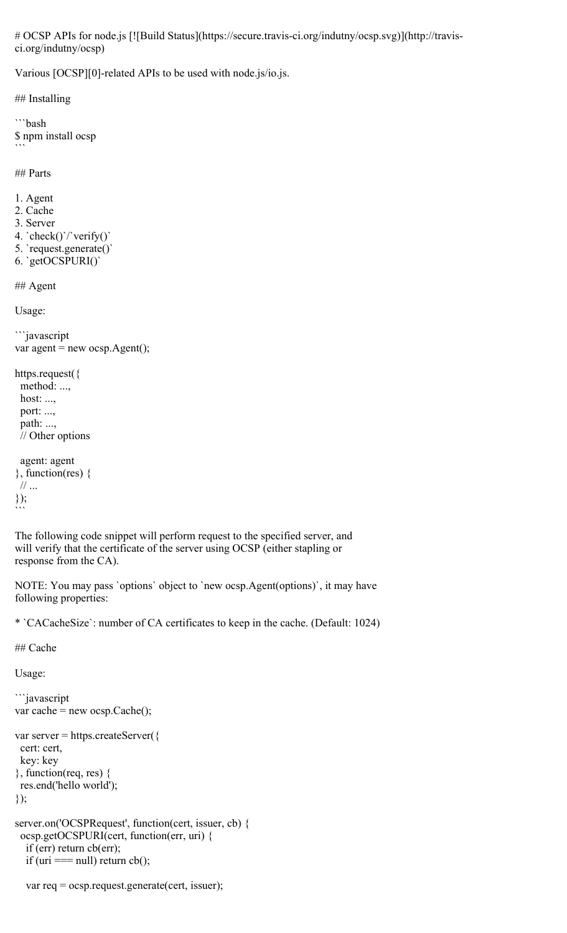# OCSP APIs for node.js [![Build Status](https://secure.travis-ci.org/indutny/ocsp.svg)](http://travisci.org/indutny/ocsp)

Various [OCSP][0]-related APIs to be used with node.js/io.js.

## Installing

```bash \$ npm install ocsp  $\ddot{\phantom{0}}$ 

## Parts

- 1. Agent
- 2. Cache
- 3. Server
- 4. `check()`/`verify()`
- 5. `request.generate()`
- 6. `getOCSPURI()`

## Agent

Usage:

```javascript var agent = new ocsp. $Agent$ );

https.request({ method: ..., host: ..., port: ...,

 path: ..., // Other options

```
 agent: agent
}, function(res) {
  // ...
});
\ddot{\phantom{0}}
```
The following code snippet will perform request to the specified server, and will verify that the certificate of the server using OCSP (either stapling or response from the CA).

NOTE: You may pass `options` object to `new ocsp.Agent(options)`, it may have following properties:

\* `CACacheSize`: number of CA certificates to keep in the cache. (Default: 1024)

## Cache

Usage:

```
```javascript
var cache = new ocsp.Cache();
var server = https.createServer({
 cert: cert,
 key: key
\}, function(req, res) {
 res.end('hello world');
});
server.on('OCSPRequest', function(cert, issuer, cb) {
  ocsp.getOCSPURI(cert, function(err, uri) {
   if (err) return cb(err);
  if (uri == null) return cb();
```

```
 var req = ocsp.request.generate(cert, issuer);
```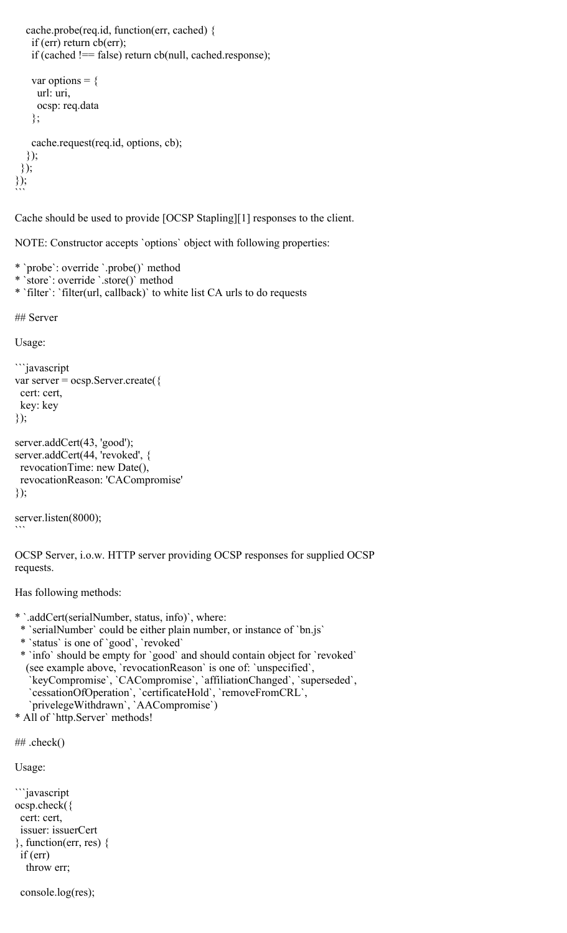```
 cache.probe(req.id, function(err, cached) {
     if (err) return cb(err);
     if (cached !== false) return cb(null, cached.response);
    var options = {
      url: uri,
      ocsp: req.data
     };
     cache.request(req.id, options, cb);
   });
 \});
});
\ddot{\phantom{0}}
```
Cache should be used to provide [OCSP Stapling][1] responses to the client.

NOTE: Constructor accepts `options` object with following properties:

\* `probe`: override `.probe()` method

- \* `store`: override `.store()` method
- \* `filter`: `filter(url, callback)` to white list CA urls to do requests

## Server

Usage:

```
```javascript
var server = ocsp.Server.create({
  cert: cert,
  key: key
});
server.addCert(43, 'good');
server.addCert(44, 'revoked', {
  revocationTime: new Date(),
  revocationReason: 'CACompromise'
});
```

```
server.listen(8000);
```
 $\ddot{\phantom{0}}$ 

OCSP Server, i.o.w. HTTP server providing OCSP responses for supplied OCSP requests.

Has following methods:

- \* `.addCert(serialNumber, status, info)`, where:
- \* `serialNumber` could be either plain number, or instance of `bn.js`
- \* `status` is one of `good`, `revoked`
- \* `info` should be empty for `good` and should contain object for `revoked` (see example above, `revocationReason` is one of: `unspecified`, `keyCompromise`, `CACompromise`, `affiliationChanged`, `superseded`, `cessationOfOperation`, `certificateHold`, `removeFromCRL`, `privelegeWithdrawn`, `AACompromise`)
- \* All of `http.Server` methods!

```
## .check()
```

```
Usage:
```

```
```javascript
ocsp.check({
  cert: cert,
  issuer: issuerCert
}, function(err, res) {
  if (err)
   throw err;
```
console.log(res);